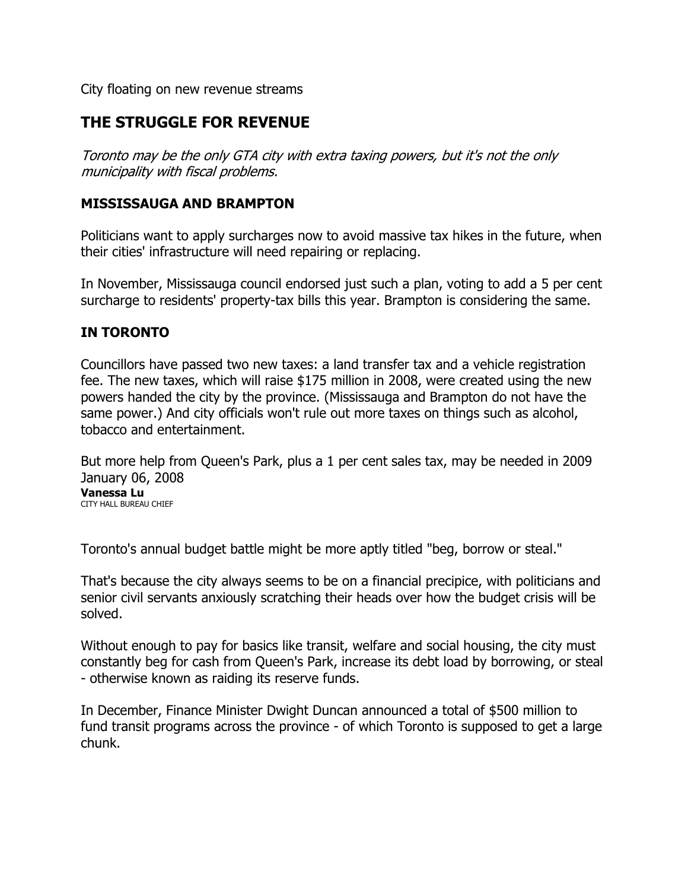City floating on new revenue streams

## THE STRUGGLE FOR REVENUE

Toronto may be the only GTA city with extra taxing powers, but it's not the only municipality with fiscal problems.

## MISSISSAUGA AND BRAMPTON

Politicians want to apply surcharges now to avoid massive tax hikes in the future, when their cities' infrastructure will need repairing or replacing.

In November, Mississauga council endorsed just such a plan, voting to add a 5 per cent surcharge to residents' property-tax bills this year. Brampton is considering the same.

## IN TORONTO

Councillors have passed two new taxes: a land transfer tax and a vehicle registration fee. The new taxes, which will raise \$175 million in 2008, were created using the new powers handed the city by the province. (Mississauga and Brampton do not have the same power.) And city officials won't rule out more taxes on things such as alcohol, tobacco and entertainment.

But more help from Queen's Park, plus a 1 per cent sales tax, may be needed in 2009 January 06, 2008 Vanessa Lu CITY HALL BUREAU CHIEF

Toronto's annual budget battle might be more aptly titled "beg, borrow or steal."

That's because the city always seems to be on a financial precipice, with politicians and senior civil servants anxiously scratching their heads over how the budget crisis will be solved.

Without enough to pay for basics like transit, welfare and social housing, the city must constantly beg for cash from Queen's Park, increase its debt load by borrowing, or steal - otherwise known as raiding its reserve funds.

In December, Finance Minister Dwight Duncan announced a total of \$500 million to fund transit programs across the province - of which Toronto is supposed to get a large chunk.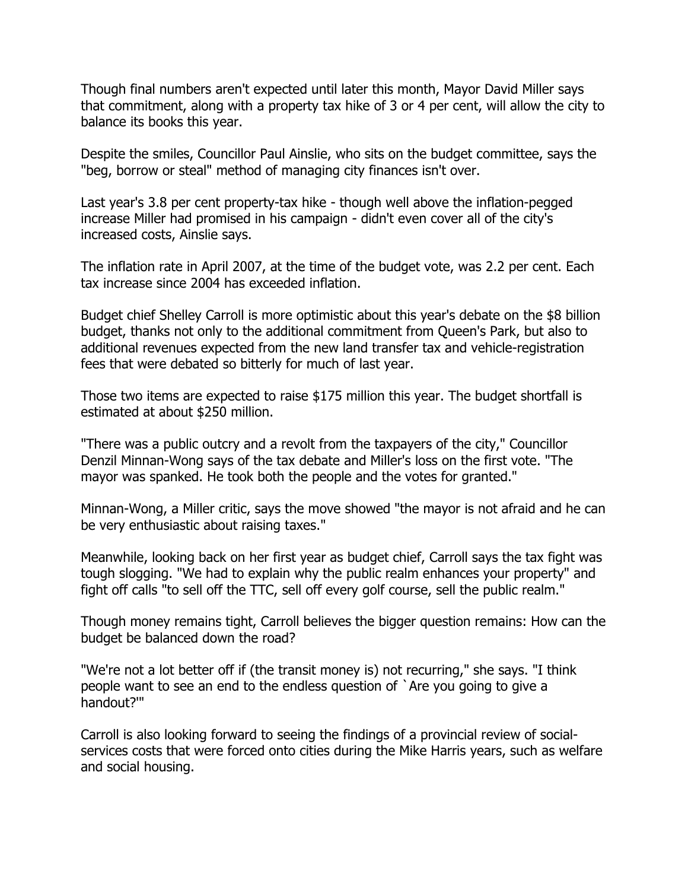Though final numbers aren't expected until later this month, Mayor David Miller says that commitment, along with a property tax hike of 3 or 4 per cent, will allow the city to balance its books this year.

Despite the smiles, Councillor Paul Ainslie, who sits on the budget committee, says the "beg, borrow or steal" method of managing city finances isn't over.

Last year's 3.8 per cent property-tax hike - though well above the inflation-pegged increase Miller had promised in his campaign - didn't even cover all of the city's increased costs, Ainslie says.

The inflation rate in April 2007, at the time of the budget vote, was 2.2 per cent. Each tax increase since 2004 has exceeded inflation.

Budget chief Shelley Carroll is more optimistic about this year's debate on the \$8 billion budget, thanks not only to the additional commitment from Queen's Park, but also to additional revenues expected from the new land transfer tax and vehicle-registration fees that were debated so bitterly for much of last year.

Those two items are expected to raise \$175 million this year. The budget shortfall is estimated at about \$250 million.

"There was a public outcry and a revolt from the taxpayers of the city," Councillor Denzil Minnan-Wong says of the tax debate and Miller's loss on the first vote. "The mayor was spanked. He took both the people and the votes for granted."

Minnan-Wong, a Miller critic, says the move showed "the mayor is not afraid and he can be very enthusiastic about raising taxes."

Meanwhile, looking back on her first year as budget chief, Carroll says the tax fight was tough slogging. "We had to explain why the public realm enhances your property" and fight off calls "to sell off the TTC, sell off every golf course, sell the public realm."

Though money remains tight, Carroll believes the bigger question remains: How can the budget be balanced down the road?

"We're not a lot better off if (the transit money is) not recurring," she says. "I think people want to see an end to the endless question of `Are you going to give a handout?'"

Carroll is also looking forward to seeing the findings of a provincial review of socialservices costs that were forced onto cities during the Mike Harris years, such as welfare and social housing.